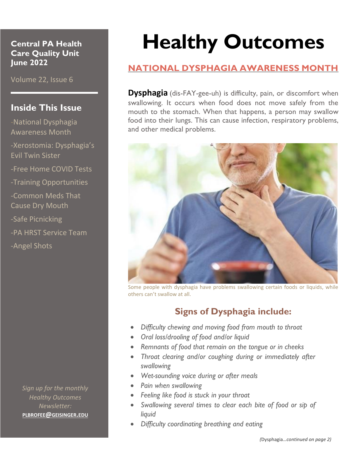**Central PA Health Care Quality Unit June 2022**

Volume 22, Issue 6

## **Inside This Issue**

-National Dysphagia Awareness Month

-Xerostomia: Dysphagia's Evil Twin Sister

-Free Home COVID Tests

-Training Opportunities

-Common Meds That Cause Dry Mouth

-Safe Picnicking

-PA HRST Service Team

-Angel Shots

*Sign up for the monthly Healthy Outcomes Newsletter:*  **PLBROFEE@[GEISINGER](mailto:plbrofee@geisinger.edu).EDU**

# **Healthy Outcomes**

## **NATIONAL DYSPHAGIA AWARENESS MONTH**

**Dysphagia** (dis-FAY-gee-uh) is difficulty, pain, or discomfort when swallowing. It occurs when food does not move safely from the mouth to the stomach. When that happens, a person may swallow food into their lungs. This can cause infection, respiratory problems, and other medical problems.



Some people with dysphagia have problems swallowing certain foods or liquids, while others can't swallow at all.

# **Signs of Dysphagia include:**

- *Difficulty chewing and moving food from mouth to throat*
- *Oral loss/drooling of food and/or liquid*
- *Remnants of food that remain on the tongue or in cheeks*
- *Throat clearing and/or coughing during or immediately after swallowing*
- *Wet-sounding voice during or after meals*
- *Pain when swallowing*
- *Feeling like food is stuck in your throat*
- *Swallowing several times to clear each bite of food or sip of liquid*
- *Difficulty coordinating breathing and eating*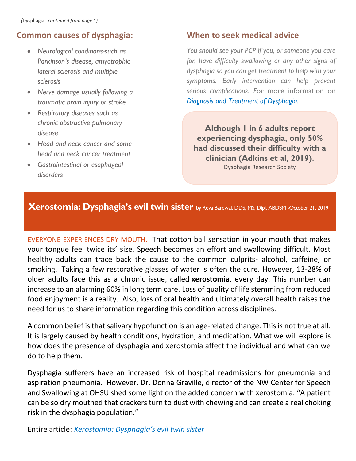# **Common causes of dysphagia:**

- *Neurological conditions-such as Parkinson's disease, amyotrophic lateral sclerosis and multiple sclerosis*
- *Nerve damage usually following a traumatic brain injury or stroke*
- *Respiratory diseases such as chronic obstructive pulmonary disease*
- *Head and neck cancer and some head and neck cancer treatment*
- *Gastrointestinal or esophageal disorders*

# **When to seek medical advice**

*You should see your PCP if you, or someone you care for, have difficulty swallowing or any other signs of dysphagia so you can get treatment to help with your symptoms. Early intervention can help prevent serious complications. F*or more information on *[Diagnosis and Treatment of Dysphagia](https://www.nghs.com/2021/06/24/june-is-national-dysphagia-awareness-month-what-is-dysphagia-or-a-swallowing-disorder).*

**Although 1 in 6 adults report experiencing dysphagia, only 50% had discussed their difficulty with a clinician (Adkins et al, 2019).** [Dysphagia Research Society](https://www.dysphagiaresearch.org/news/510367/June-1-kicks-off-Dysphagia-Awareness-Month-in-the-US..htm)

### **Xerostomia: Dysphagia's evil twin sister** by Reva Barewal, DDS, MS, Dipl. ABDSM -October 21, 2019

EVERYONE EXPERIENCES DRY MOUTH. That cotton ball sensation in your mouth that makes your tongue feel twice its' size. Speech becomes an effort and swallowing difficult. Most healthy adults can trace back the cause to the common culprits- alcohol, caffeine, or smoking. Taking a few restorative glasses of water is often the cure. However, 13-28% of older adults face this as a chronic issue, called **xerostomia**, every day. This number can increase to an alarming 60% in long term care. Loss of quality of life stemming from reduced food enjoyment is a reality. Also, loss of oral health and ultimately overall health raises the need for us to share information regarding this condition across disciplines.

A common belief is that salivary hypofunction is an age-related change. This is not true at all. It is largely caused by health conditions, hydration, and medication. What we will explore is how does the presence of dysphagia and xerostomia affect the individual and what can we do to help them.

Dysphagia sufferers have an increased risk of hospital readmissions for pneumonia and aspiration pneumonia. However, Dr. Donna Graville, director of the NW Center for Speech and Swallowing at OHSU shed some light on the added concern with xerostomia. "A patient can be so dry mouthed that crackers turn to dust with chewing and can create a real choking risk in the dysphagia population."

Entire article: *[Xerostomia: Dysphagia's evil twin sister](https://dysphagiacafe.com/2019/10/21/xerostomia-dysphagias-evil-twin-sister/)*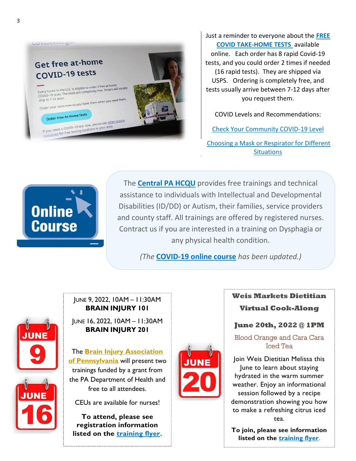

Just a reminder to everyone about the **[FREE](https://nam12.safelinks.protection.outlook.com/?url=https%3A%2F%2Fwww.covid.gov%2Ftests&data=05%7C01%7Cplbrofee%40geisinger.edu%7Cf4f9e02257394def900108da3a7c58e2%7C37d46c567c664402a16055c2313b910d%7C0%7C0%7C637886602990587156%7CUnknown%7CTWFpbGZsb3d8eyJWIjoiMC4wLjAwMDAiLCJQIjoiV2luMzIiLCJBTiI6Ik1haWwiLCJXVCI6Mn0%3D%7C3000%7C%7C%7C&sdata=iZPESHQBBKdKf7QQEEXb9t6NlpS9Tn9S%2FU%2F36OCk%2F%2FY%3D&reserved=0)  [COVID TAKE-HOME TESTS](https://nam12.safelinks.protection.outlook.com/?url=https%3A%2F%2Fwww.covid.gov%2Ftests&data=05%7C01%7Cplbrofee%40geisinger.edu%7Cf4f9e02257394def900108da3a7c58e2%7C37d46c567c664402a16055c2313b910d%7C0%7C0%7C637886602990587156%7CUnknown%7CTWFpbGZsb3d8eyJWIjoiMC4wLjAwMDAiLCJQIjoiV2luMzIiLCJBTiI6Ik1haWwiLCJXVCI6Mn0%3D%7C3000%7C%7C%7C&sdata=iZPESHQBBKdKf7QQEEXb9t6NlpS9Tn9S%2FU%2F36OCk%2F%2FY%3D&reserved=0)** available online. Each order has 8 rapid Covid-19 tests, and you could order 2 times if needed (16 rapid tests). They are shipped via USPS. Ordering is completely free, and tests usually arrive between 7-12 days after you request them.

COVID Levels and Recommendations:

[Check Your Community COVID-19 Level](https://www.cdc.gov/coronavirus/2019-ncov/your-health/covid-by-county.html)

Choosing a [Mask or Respirator](https://www.cdc.gov/coronavirus/2019-ncov/prevent-getting-sick/types-of-masks.html#DifferentSituations) for Different **[Situations](https://www.cdc.gov/coronavirus/2019-ncov/prevent-getting-sick/types-of-masks.html#DifferentSituations)** 



The **[Central PA HCQU](https://www.geisinger.org/hcqu)** provides free trainings and technical assistance to individuals with Intellectual and Developmental Disabilities (ID/DD) or Autism, their families, service providers and county staff. All trainings are offered by registered nurses. Contract us if you are interested in a training on Dysphagia or any physical health condition.

*(The* **[COVID-19 online course](https://education.geisinger.org/hcqu/index.html)** *has been updated.)*





#### JUNE 9, 2022, 10AM – 11:30AM **BRAIN INJURY 101**

JUNE 16, 2022, 10AM – 11:30AM **BRAIN INJURY 201**

The **[Brain Injury Association](https://biapa.org/)  [of Pennsylvania](https://biapa.org/)** will present two trainings funded by a grant from the PA Department of Health and free to all attendees.

CEUs are available for nurses!

**To attend, please see registration information listed on the [training flyer.](https://www.geisinger.org/-/media/OneGeisinger/pdfs/ghs/patient-care/for-professionals/professional-resources/hcqu/Brain-Injury-Training-June-2022.pdf?la=en)**



#### **Weis Markets Dietitian**

#### **Virtual Cook-Along**

#### **June 20th, 2022 @ 1PM**

Blood Orange and Cara Cara Iced Tea

Join Weis Dietitian Melissa this June to learn about staying hydrated in the warm summer weather. Enjoy an informational session followed by a recipe demonstration showing you how to make a refreshing citrus iced tea.

**To join, please see information listed on the [training flyer](https://www.geisinger.org/-/media/OneGeisinger/pdfs/ghs/patient-care/for-professionals/professional-resources/hcqu/June-Weis-Markets-Flyer-2022.pdf?sc_lang=en&hash=E81B2AFFB73B3A6D0B45E0FE4F2FC3E9)**.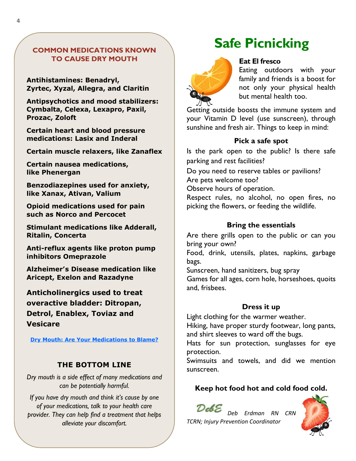# **TO CAUSE DRY MOUTH**

**Antihistamines:** Benadryl, Zyrtec, Xyzal, Allegra, and Claritin

**Antipsychotics and mood stabilizers**: Cymbalta, Celexa, Lexapro, Paxil, Prozac, Zoloft

Certain **heart and blood pressure medications**: Lasix and Inderal

Certain **muscle relaxers**, like Zanaflex

Certain **nausea medications**, like Phenergan

**Benzodiazepines used for anxiety,** like Xanax, Ativan, Valium

**Opioid medications** used for pain such as Norco and Percocet

**Stimulant medications** like Adderall, Ritalin, Concerta

**Anti-reflux agents** like proton pump inhibitors Omeprazole

**Alzheimer's Disease medication** like Aricept, Exelon and Razadyne

**Anticholinergics** used to treat overactive bladder: Ditropan, Detrol, Enablex, Toviaz and Vesicare

[Dry Mouth: Are Your Medications to Blame?](https://www.goodrx.com/drugs/side-effects/dry-mouth-are-your-medications-to-blame)

#### **THE BOTTOM LINE**

*Dry mouth is a side effect of many medications and can be potentially harmful.*

*If you have dry mouth and think it's cause by one of your medications, talk to your health care provider. They can help find a treatment that helps alleviate your discomfort.*

# **Safe Picnicking COMMON MEDICATIONS KNOWN**



#### **Eat El fresco**

Eating outdoors with your family and friends is a boost for not only your physical health but mental health too.

Getting outside boosts the immune system and your Vitamin D level (use sunscreen), through sunshine and fresh air. Things to keep in mind:

#### **Pick a safe spot**

Is the park open to the public? Is there safe parking and rest facilities?

Do you need to reserve tables or pavilions? Are pets welcome too?

Observe hours of operation.

Respect rules, no alcohol, no open fires, no picking the flowers, or feeding the wildlife.

#### **Bring the essentials**

Are there grills open to the public or can you bring your own?

Food, drink, utensils, plates, napkins, garbage bags.

Sunscreen, hand sanitizers, bug spray

Games for all ages, corn hole, horseshoes, quoits and, frisbees.

#### **Dress it up**

Light clothing for the warmer weather. Hiking, have proper sturdy footwear, long pants, and shirt sleeves to ward off the bugs.

Hats for sun protection, sunglasses for eye protection.

Swimsuits and towels, and did we mention sunscreen.

#### **Keep hot food hot and cold food cold.**

*Deb Erdman RN CRN TCRN; Injury Prevention Coordinator*

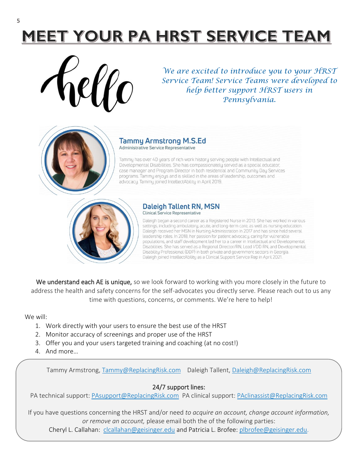# MEET YOUR PA HRST SERVICE TEAM



## *We are excited to introduce you to your HRST Service Team! Service Teams were developed to help better support HRST users in Pennsylvania.*



#### **Tammy Armstrong M.S.Ed** Administrative Service Representative

Tammy has over 40 years of rich work history serving people with Intellectual and Developmental Disabilities. She has compassionately served as a special educator, case manager and Program Director in both residential and Community Day Services programs. Tammy enjoys and is skilled in the areas of leadership, outcomes and advocacy. Tammy joined IntellectAbility in April 2019.



#### Daleigh Tallent RN, MSN **Clinical Service Representative**

Daleigh began a second career as a Registered Nurse in 2013. She has worked in various settings, including ambulatory, acute, and long-term care, as well as nursing education. Daleigh received her MSN in Nursing Administration in 2017 and has since held several leadership roles. In 2018, her passion for patient advocacy, caring for vulnerable populations, and staff development led her to a career in Intellectual and Developmental Disabilities. She has served as a Regional Director/RN, Lead I/DD RN, and Developmental Disability Professional (DDP) in both private and government sectors in Georgia. Daleigh joined IntellectAbility as a Clinical Support Service Rep in April 2021.

We understand each AE is unique, so we look forward to working with you more closely in the future to address the health and safety concerns for the self-advocates you directly serve. Please reach out to us any time with questions, concerns, or comments. We're here to help!

#### We will:

- 1. Work directly with your users to ensure the best use of the HRST
- 2. Monitor accuracy of screenings and proper use of the HRST
- 3. Offer you and your users targeted training and coaching (at no cost!)
- 4. And more…

Tammy Armstrong, [Tammy@ReplacingRisk.com](mailto:Tammy@ReplacingRisk.com) Daleigh Tallent, [Daleigh@ReplacingRisk.com](mailto:Daleigh@ReplacingRisk.com)

#### 24/7 support lines:

PA technical support: [PAsupport@ReplacingRisk.com](mailto:PAsupport@ReplacingRisk.com) PA clinical support: [PAclinassist@ReplacingRisk.com](mailto:PAclinassist@ReplacingRisk.com)

If you have questions concerning the HRST and/or need *to acquire an account, change account information, or remove an account,* please email both the of the following parties:

Cheryl L. Callahan: [clcallahan@geisinger.edu](mailto:clcallahan@geisinger.edu) and Patricia L. Brofee: [plbrofee@geisinger.edu.](mailto:plbrofee@geisinger.edu)